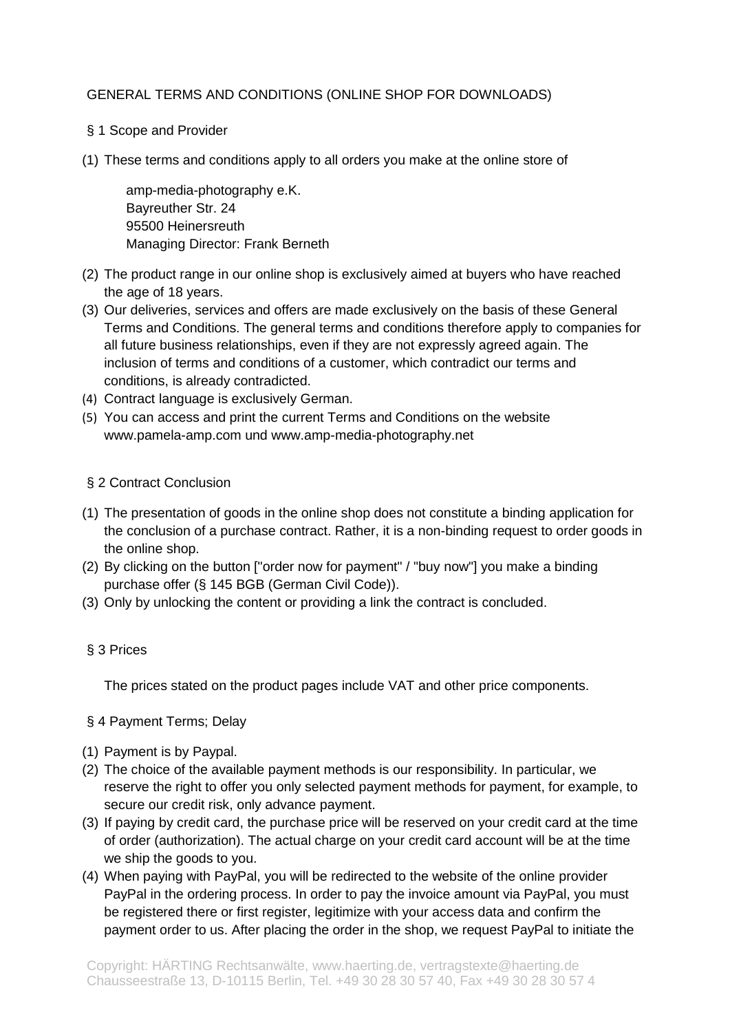# GENERAL TERMS AND CONDITIONS (ONLINE SHOP FOR DOWNLOADS)

- § 1 Scope and Provider
- (1) These terms and conditions apply to all orders you make at the online store of

amp-media-photography e.K. Bayreuther Str. 24 95500 Heinersreuth Managing Director: Frank Berneth

- (2) The product range in our online shop is exclusively aimed at buyers who have reached the age of 18 years.
- (3) Our deliveries, services and offers are made exclusively on the basis of these General Terms and Conditions. The general terms and conditions therefore apply to companies for all future business relationships, even if they are not expressly agreed again. The inclusion of terms and conditions of a customer, which contradict our terms and conditions, is already contradicted.
- (4) Contract language is exclusively German.
- (5) You can access and print the current Terms and Conditions on the website www.pamela-amp.com und www.amp-media-photography.net

#### § 2 Contract Conclusion

- (1) The presentation of goods in the online shop does not constitute a binding application for the conclusion of a purchase contract. Rather, it is a non-binding request to order goods in the online shop.
- (2) By clicking on the button ["order now for payment" / "buy now"] you make a binding purchase offer (§ 145 BGB (German Civil Code)).
- (3) Only by unlocking the content or providing a link the contract is concluded.

# § 3 Prices

The prices stated on the product pages include VAT and other price components.

#### § 4 Payment Terms; Delay

- (1) Payment is by Paypal.
- (2) The choice of the available payment methods is our responsibility. In particular, we reserve the right to offer you only selected payment methods for payment, for example, to secure our credit risk, only advance payment.
- (3) If paying by credit card, the purchase price will be reserved on your credit card at the time of order (authorization). The actual charge on your credit card account will be at the time we ship the goods to you.
- (4) When paying with PayPal, you will be redirected to the website of the online provider PayPal in the ordering process. In order to pay the invoice amount via PayPal, you must be registered there or first register, legitimize with your access data and confirm the payment order to us. After placing the order in the shop, we request PayPal to initiate the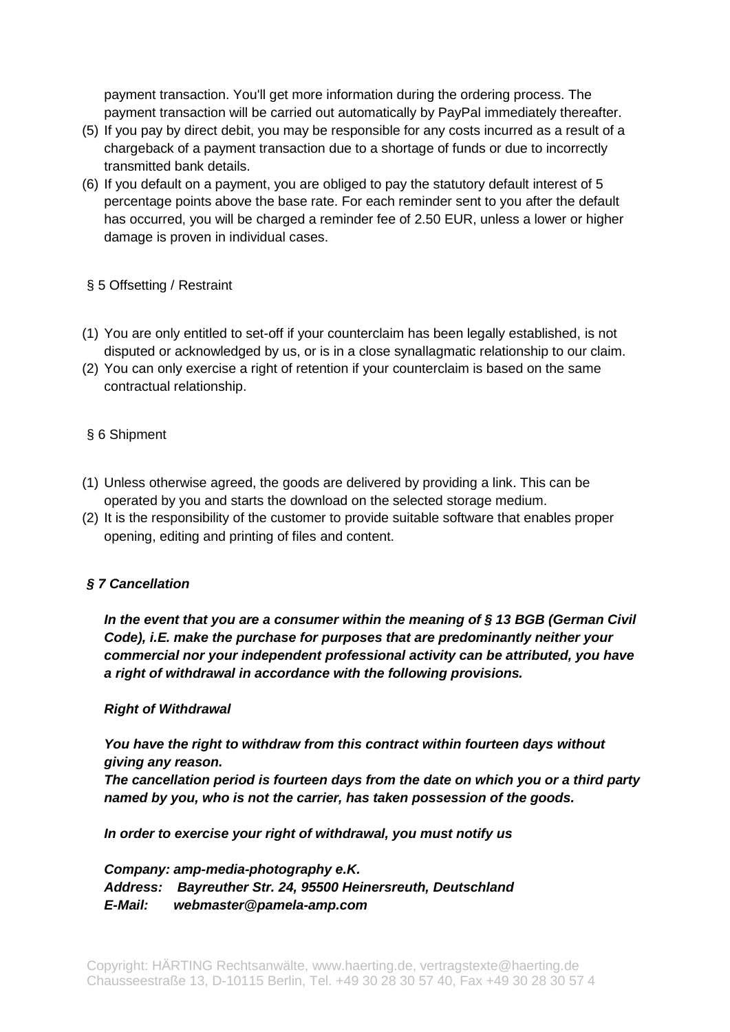payment transaction. You'll get more information during the ordering process. The payment transaction will be carried out automatically by PayPal immediately thereafter.

- (5) If you pay by direct debit, you may be responsible for any costs incurred as a result of a chargeback of a payment transaction due to a shortage of funds or due to incorrectly transmitted bank details.
- (6) If you default on a payment, you are obliged to pay the statutory default interest of 5 percentage points above the base rate. For each reminder sent to you after the default has occurred, you will be charged a reminder fee of 2.50 EUR, unless a lower or higher damage is proven in individual cases.

## § 5 Offsetting / Restraint

- (1) You are only entitled to set-off if your counterclaim has been legally established, is not disputed or acknowledged by us, or is in a close synallagmatic relationship to our claim.
- (2) You can only exercise a right of retention if your counterclaim is based on the same contractual relationship.

# § 6 Shipment

- (1) Unless otherwise agreed, the goods are delivered by providing a link. This can be operated by you and starts the download on the selected storage medium.
- (2) It is the responsibility of the customer to provide suitable software that enables proper opening, editing and printing of files and content.

# *§ 7 Cancellation*

*In the event that you are a consumer within the meaning of § 13 BGB (German Civil Code), i.E. make the purchase for purposes that are predominantly neither your commercial nor your independent professional activity can be attributed, you have a right of withdrawal in accordance with the following provisions.*

#### *Right of Withdrawal*

*You have the right to withdraw from this contract within fourteen days without giving any reason.*

*The cancellation period is fourteen days from the date on which you or a third party named by you, who is not the carrier, has taken possession of the goods.*

*In order to exercise your right of withdrawal, you must notify us* 

*Company: amp-media-photography e.K. Address: Bayreuther Str. 24, 95500 Heinersreuth, Deutschland E-Mail: webmaster@pamela-amp.com*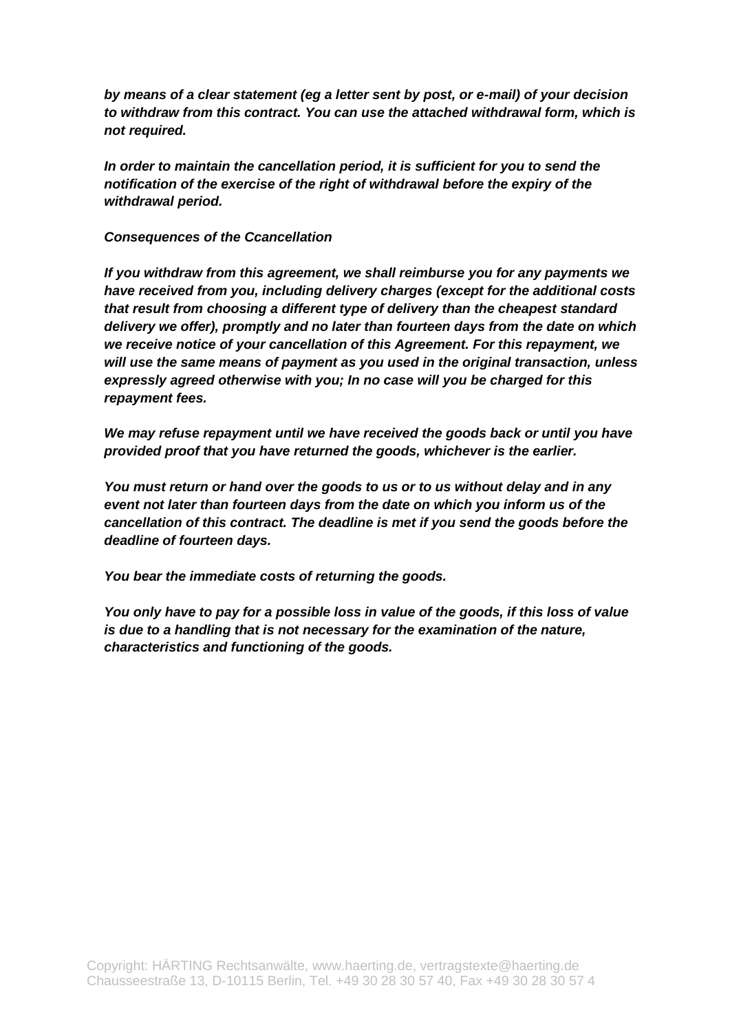*by means of a clear statement (eg a letter sent by post, or e-mail) of your decision to withdraw from this contract. You can use the attached withdrawal form, which is not required.*

*In order to maintain the cancellation period, it is sufficient for you to send the notification of the exercise of the right of withdrawal before the expiry of the withdrawal period.*

### *Consequences of the Ccancellation*

*If you withdraw from this agreement, we shall reimburse you for any payments we have received from you, including delivery charges (except for the additional costs that result from choosing a different type of delivery than the cheapest standard delivery we offer), promptly and no later than fourteen days from the date on which we receive notice of your cancellation of this Agreement. For this repayment, we will use the same means of payment as you used in the original transaction, unless expressly agreed otherwise with you; In no case will you be charged for this repayment fees.*

*We may refuse repayment until we have received the goods back or until you have provided proof that you have returned the goods, whichever is the earlier.*

*You must return or hand over the goods to us or to us without delay and in any event not later than fourteen days from the date on which you inform us of the cancellation of this contract. The deadline is met if you send the goods before the deadline of fourteen days.*

*You bear the immediate costs of returning the goods.*

*You only have to pay for a possible loss in value of the goods, if this loss of value is due to a handling that is not necessary for the examination of the nature, characteristics and functioning of the goods.*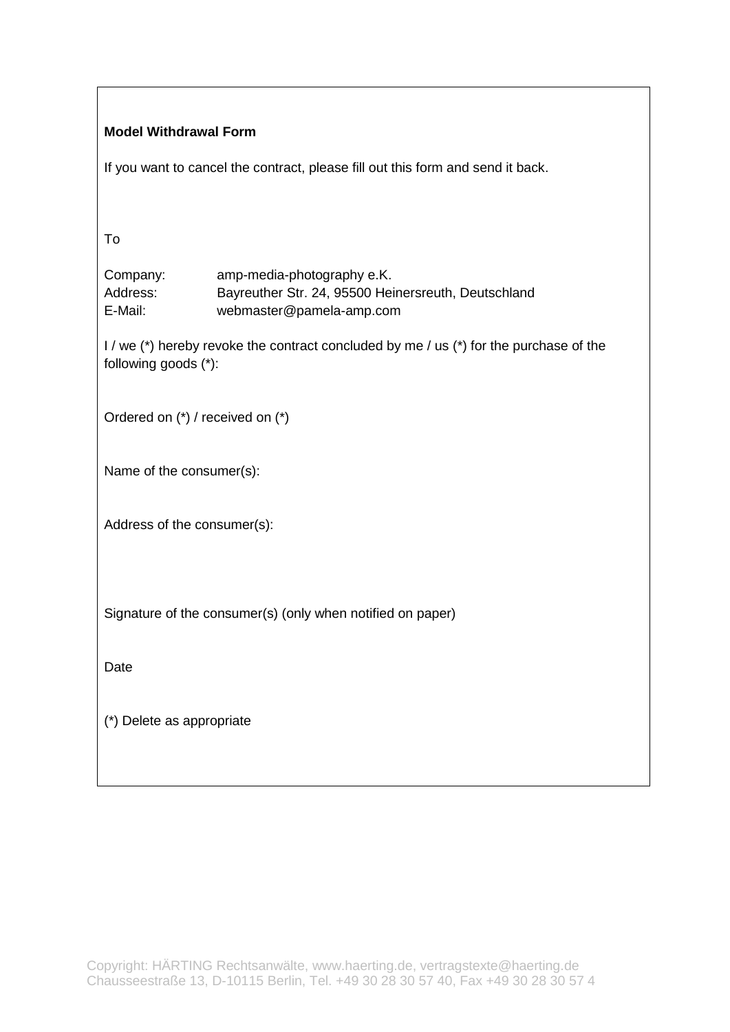| <b>Model Withdrawal Form</b>                                                                                   |                                                                                                               |
|----------------------------------------------------------------------------------------------------------------|---------------------------------------------------------------------------------------------------------------|
| If you want to cancel the contract, please fill out this form and send it back.                                |                                                                                                               |
|                                                                                                                |                                                                                                               |
| To                                                                                                             |                                                                                                               |
| Company:<br>Address:<br>E-Mail:                                                                                | amp-media-photography e.K.<br>Bayreuther Str. 24, 95500 Heinersreuth, Deutschland<br>webmaster@pamela-amp.com |
| I / we (*) hereby revoke the contract concluded by me / us (*) for the purchase of the<br>following goods (*): |                                                                                                               |
| Ordered on (*) / received on (*)                                                                               |                                                                                                               |
| Name of the consumer(s):                                                                                       |                                                                                                               |
| Address of the consumer(s):                                                                                    |                                                                                                               |
|                                                                                                                |                                                                                                               |
| Signature of the consumer(s) (only when notified on paper)                                                     |                                                                                                               |
| Date                                                                                                           |                                                                                                               |
| (*) Delete as appropriate                                                                                      |                                                                                                               |
|                                                                                                                |                                                                                                               |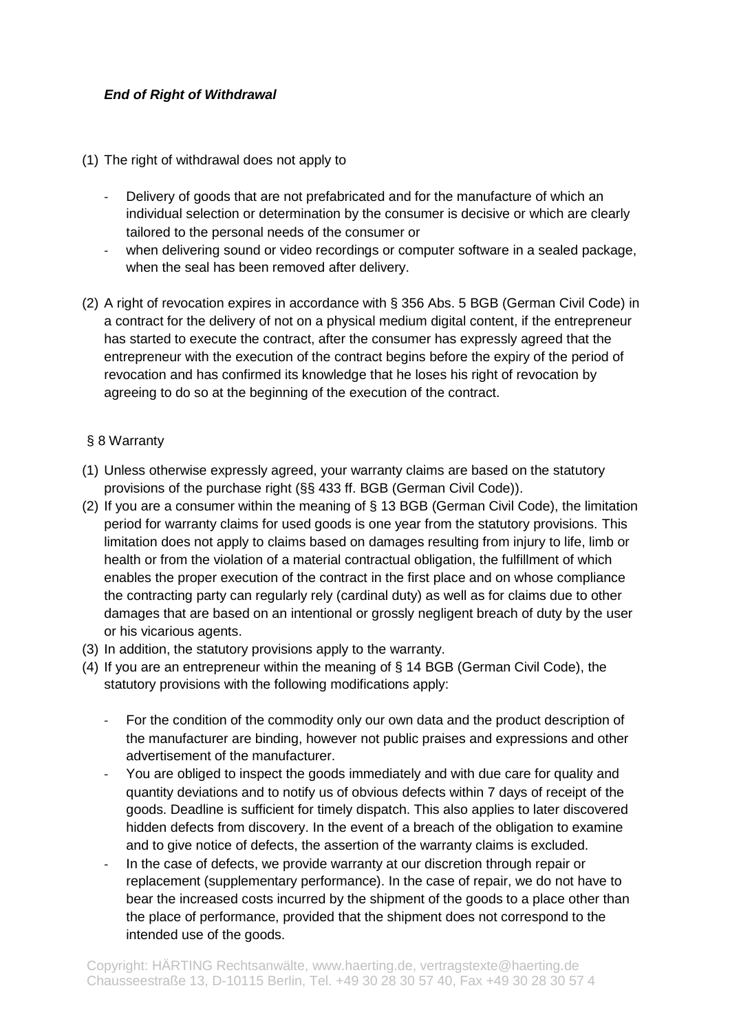# *End of Right of Withdrawal*

- (1) The right of withdrawal does not apply to
	- Delivery of goods that are not prefabricated and for the manufacture of which an individual selection or determination by the consumer is decisive or which are clearly tailored to the personal needs of the consumer or
	- when delivering sound or video recordings or computer software in a sealed package, when the seal has been removed after delivery.
- (2) A right of revocation expires in accordance with § 356 Abs. 5 BGB (German Civil Code) in a contract for the delivery of not on a physical medium digital content, if the entrepreneur has started to execute the contract, after the consumer has expressly agreed that the entrepreneur with the execution of the contract begins before the expiry of the period of revocation and has confirmed its knowledge that he loses his right of revocation by agreeing to do so at the beginning of the execution of the contract.

## § 8 Warranty

- (1) Unless otherwise expressly agreed, your warranty claims are based on the statutory provisions of the purchase right (§§ 433 ff. BGB (German Civil Code)).
- (2) If you are a consumer within the meaning of § 13 BGB (German Civil Code), the limitation period for warranty claims for used goods is one year from the statutory provisions. This limitation does not apply to claims based on damages resulting from injury to life, limb or health or from the violation of a material contractual obligation, the fulfillment of which enables the proper execution of the contract in the first place and on whose compliance the contracting party can regularly rely (cardinal duty) as well as for claims due to other damages that are based on an intentional or grossly negligent breach of duty by the user or his vicarious agents.
- (3) In addition, the statutory provisions apply to the warranty.
- (4) If you are an entrepreneur within the meaning of § 14 BGB (German Civil Code), the statutory provisions with the following modifications apply:
	- For the condition of the commodity only our own data and the product description of the manufacturer are binding, however not public praises and expressions and other advertisement of the manufacturer.
	- You are obliged to inspect the goods immediately and with due care for quality and quantity deviations and to notify us of obvious defects within 7 days of receipt of the goods. Deadline is sufficient for timely dispatch. This also applies to later discovered hidden defects from discovery. In the event of a breach of the obligation to examine and to give notice of defects, the assertion of the warranty claims is excluded.
	- In the case of defects, we provide warranty at our discretion through repair or replacement (supplementary performance). In the case of repair, we do not have to bear the increased costs incurred by the shipment of the goods to a place other than the place of performance, provided that the shipment does not correspond to the intended use of the goods.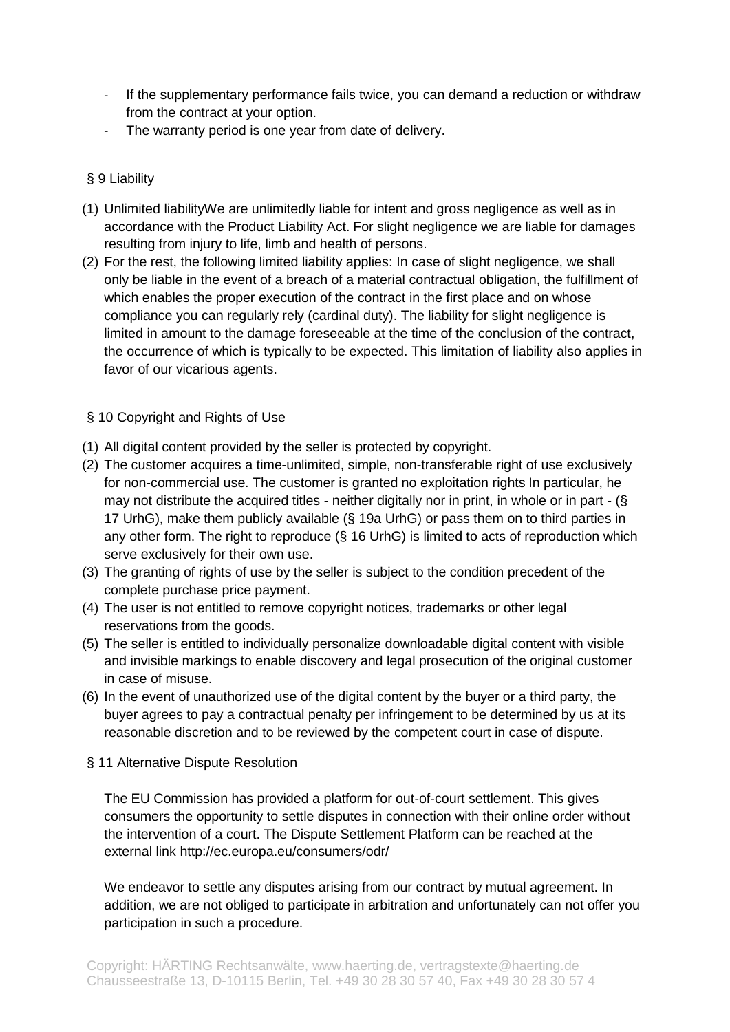- If the supplementary performance fails twice, you can demand a reduction or withdraw from the contract at your option.
- The warranty period is one year from date of delivery.

# § 9 Liability

- (1) Unlimited liabilityWe are unlimitedly liable for intent and gross negligence as well as in accordance with the Product Liability Act. For slight negligence we are liable for damages resulting from injury to life, limb and health of persons.
- (2) For the rest, the following limited liability applies: In case of slight negligence, we shall only be liable in the event of a breach of a material contractual obligation, the fulfillment of which enables the proper execution of the contract in the first place and on whose compliance you can regularly rely (cardinal duty). The liability for slight negligence is limited in amount to the damage foreseeable at the time of the conclusion of the contract, the occurrence of which is typically to be expected. This limitation of liability also applies in favor of our vicarious agents.

# § 10 Copyright and Rights of Use

- (1) All digital content provided by the seller is protected by copyright.
- (2) The customer acquires a time-unlimited, simple, non-transferable right of use exclusively for non-commercial use. The customer is granted no exploitation rights In particular, he may not distribute the acquired titles - neither digitally nor in print, in whole or in part - (§ 17 UrhG), make them publicly available (§ 19a UrhG) or pass them on to third parties in any other form. The right to reproduce (§ 16 UrhG) is limited to acts of reproduction which serve exclusively for their own use.
- (3) The granting of rights of use by the seller is subject to the condition precedent of the complete purchase price payment.
- (4) The user is not entitled to remove copyright notices, trademarks or other legal reservations from the goods.
- (5) The seller is entitled to individually personalize downloadable digital content with visible and invisible markings to enable discovery and legal prosecution of the original customer in case of misuse.
- (6) In the event of unauthorized use of the digital content by the buyer or a third party, the buyer agrees to pay a contractual penalty per infringement to be determined by us at its reasonable discretion and to be reviewed by the competent court in case of dispute.
- § 11 Alternative Dispute Resolution

The EU Commission has provided a platform for out-of-court settlement. This gives consumers the opportunity to settle disputes in connection with their online order without the intervention of a court. The Dispute Settlement Platform can be reached at the external link<http://ec.europa.eu/consumers/odr/>

We endeavor to settle any disputes arising from our contract by mutual agreement. In addition, we are not obliged to participate in arbitration and unfortunately can not offer you participation in such a procedure.